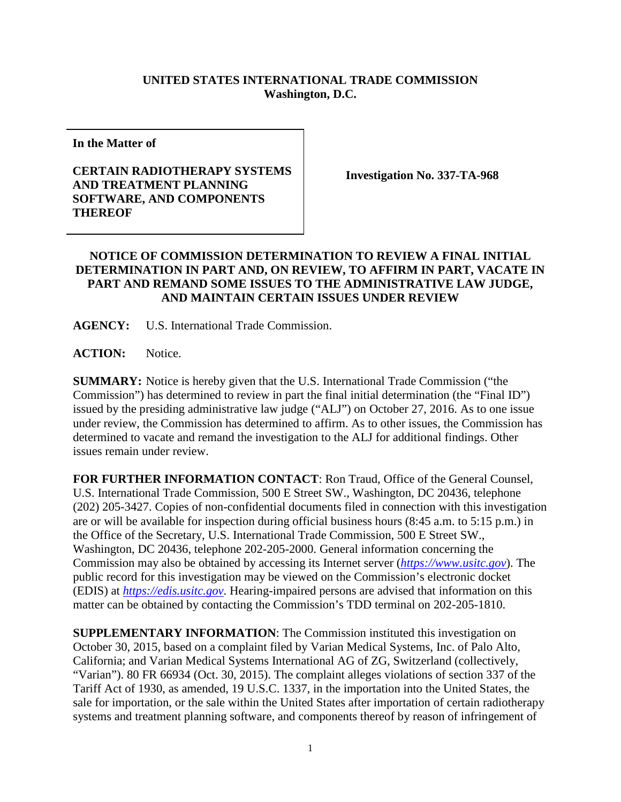## **UNITED STATES INTERNATIONAL TRADE COMMISSION Washington, D.C.**

**In the Matter of**

## **CERTAIN RADIOTHERAPY SYSTEMS AND TREATMENT PLANNING SOFTWARE, AND COMPONENTS THEREOF**

**Investigation No. 337-TA-968**

## **NOTICE OF COMMISSION DETERMINATION TO REVIEW A FINAL INITIAL DETERMINATION IN PART AND, ON REVIEW, TO AFFIRM IN PART, VACATE IN PART AND REMAND SOME ISSUES TO THE ADMINISTRATIVE LAW JUDGE, AND MAINTAIN CERTAIN ISSUES UNDER REVIEW**

**AGENCY:** U.S. International Trade Commission.

**ACTION:** Notice.

**SUMMARY:** Notice is hereby given that the U.S. International Trade Commission ("the Commission") has determined to review in part the final initial determination (the "Final ID") issued by the presiding administrative law judge ("ALJ") on October 27, 2016. As to one issue under review, the Commission has determined to affirm. As to other issues, the Commission has determined to vacate and remand the investigation to the ALJ for additional findings. Other issues remain under review.

**FOR FURTHER INFORMATION CONTACT**: Ron Traud, Office of the General Counsel, U.S. International Trade Commission, 500 E Street SW., Washington, DC 20436, telephone (202) 205-3427. Copies of non-confidential documents filed in connection with this investigation are or will be available for inspection during official business hours (8:45 a.m. to 5:15 p.m.) in the Office of the Secretary, U.S. International Trade Commission, 500 E Street SW., Washington, DC 20436, telephone 202-205-2000. General information concerning the Commission may also be obtained by accessing its Internet server (*[https://www.usitc.gov](https://www.usitc.gov/)*). The public record for this investigation may be viewed on the Commission's electronic docket (EDIS) at *[https://edis.usitc.gov](https://edis.usitc.gov/)*. Hearing-impaired persons are advised that information on this matter can be obtained by contacting the Commission's TDD terminal on 202-205-1810.

**SUPPLEMENTARY INFORMATION**: The Commission instituted this investigation on October 30, 2015, based on a complaint filed by Varian Medical Systems, Inc. of Palo Alto, California; and Varian Medical Systems International AG of ZG, Switzerland (collectively, "Varian"). 80 FR 66934 (Oct. 30, 2015). The complaint alleges violations of section 337 of the Tariff Act of 1930, as amended, 19 U.S.C. 1337, in the importation into the United States, the sale for importation, or the sale within the United States after importation of certain radiotherapy systems and treatment planning software, and components thereof by reason of infringement of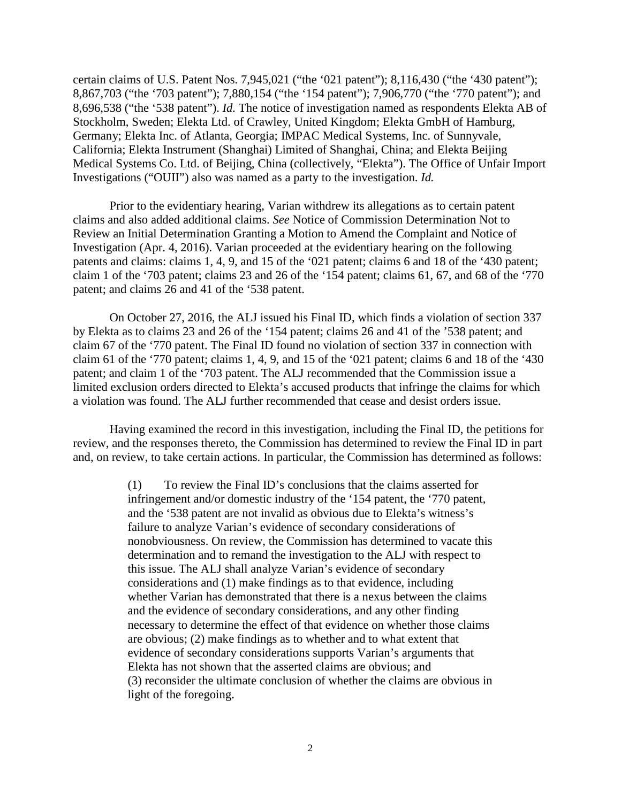certain claims of U.S. Patent Nos. 7,945,021 ("the '021 patent"); 8,116,430 ("the '430 patent"); 8,867,703 ("the '703 patent"); 7,880,154 ("the '154 patent"); 7,906,770 ("the '770 patent"); and 8,696,538 ("the '538 patent"). *Id.* The notice of investigation named as respondents Elekta AB of Stockholm, Sweden; Elekta Ltd. of Crawley, United Kingdom; Elekta GmbH of Hamburg, Germany; Elekta Inc. of Atlanta, Georgia; IMPAC Medical Systems, Inc. of Sunnyvale, California; Elekta Instrument (Shanghai) Limited of Shanghai, China; and Elekta Beijing Medical Systems Co. Ltd. of Beijing, China (collectively, "Elekta"). The Office of Unfair Import Investigations ("OUII") also was named as a party to the investigation. *Id.*

Prior to the evidentiary hearing, Varian withdrew its allegations as to certain patent claims and also added additional claims. *See* Notice of Commission Determination Not to Review an Initial Determination Granting a Motion to Amend the Complaint and Notice of Investigation (Apr. 4, 2016). Varian proceeded at the evidentiary hearing on the following patents and claims: claims 1, 4, 9, and 15 of the '021 patent; claims 6 and 18 of the '430 patent; claim 1 of the '703 patent; claims 23 and 26 of the '154 patent; claims 61, 67, and 68 of the '770 patent; and claims 26 and 41 of the '538 patent.

On October 27, 2016, the ALJ issued his Final ID, which finds a violation of section 337 by Elekta as to claims 23 and 26 of the '154 patent; claims 26 and 41 of the '538 patent; and claim 67 of the '770 patent. The Final ID found no violation of section 337 in connection with claim 61 of the '770 patent; claims 1, 4, 9, and 15 of the '021 patent; claims 6 and 18 of the '430 patent; and claim 1 of the '703 patent. The ALJ recommended that the Commission issue a limited exclusion orders directed to Elekta's accused products that infringe the claims for which a violation was found. The ALJ further recommended that cease and desist orders issue.

Having examined the record in this investigation, including the Final ID, the petitions for review, and the responses thereto, the Commission has determined to review the Final ID in part and, on review, to take certain actions. In particular, the Commission has determined as follows:

> (1) To review the Final ID's conclusions that the claims asserted for infringement and/or domestic industry of the '154 patent, the '770 patent, and the '538 patent are not invalid as obvious due to Elekta's witness's failure to analyze Varian's evidence of secondary considerations of nonobviousness. On review, the Commission has determined to vacate this determination and to remand the investigation to the ALJ with respect to this issue. The ALJ shall analyze Varian's evidence of secondary considerations and (1) make findings as to that evidence, including whether Varian has demonstrated that there is a nexus between the claims and the evidence of secondary considerations, and any other finding necessary to determine the effect of that evidence on whether those claims are obvious; (2) make findings as to whether and to what extent that evidence of secondary considerations supports Varian's arguments that Elekta has not shown that the asserted claims are obvious; and (3) reconsider the ultimate conclusion of whether the claims are obvious in light of the foregoing.